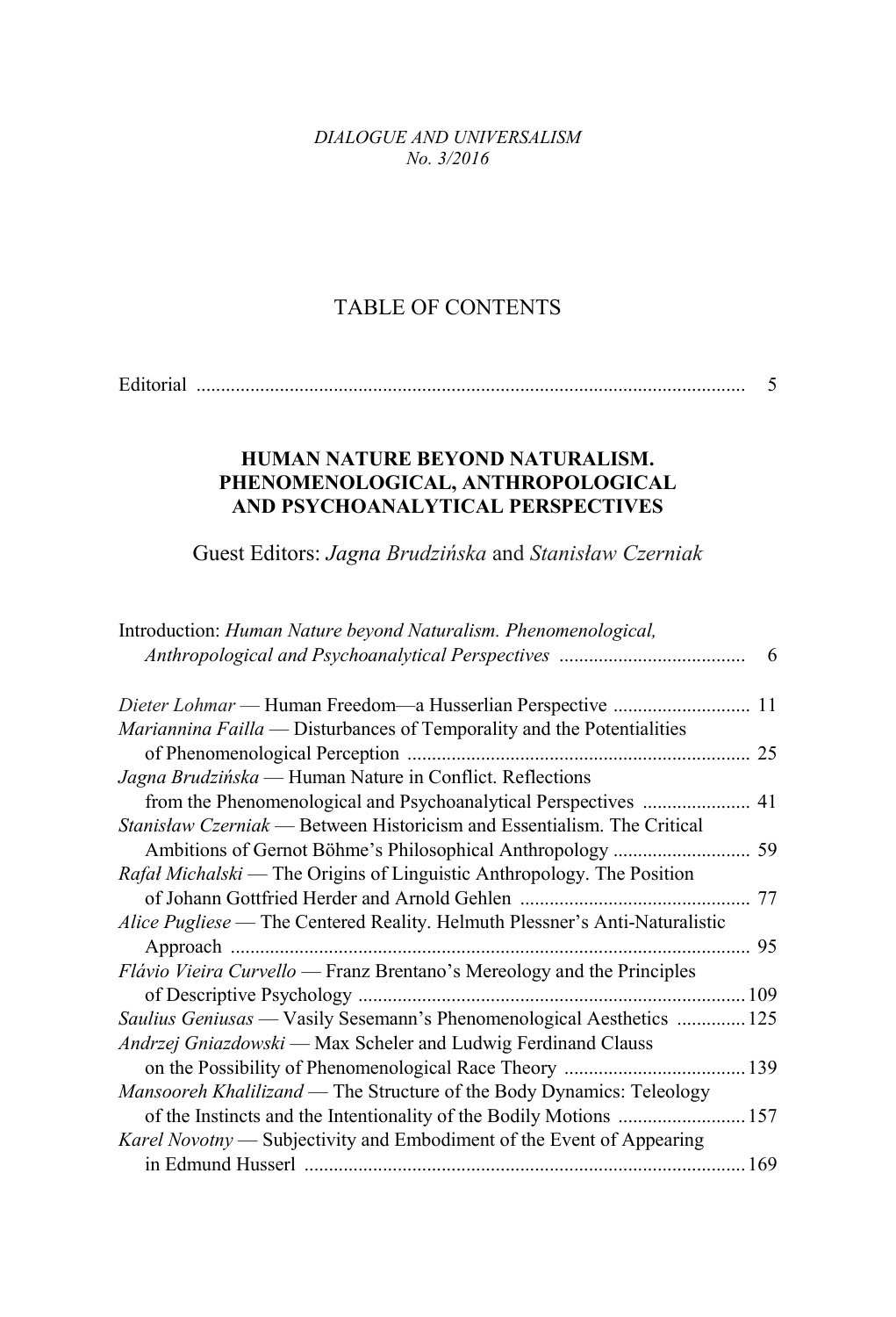*DIALOGUE AND UNIVERSALISM No. 3/2016*

## TABLE OF CONTENTS

## **HUMAN NATURE BEYOND NATURALISM. PHENOMENOLOGICAL, ANTHROPOLOGICAL AND PSYCHOANALYTICAL PERSPECTIVES**

Guest Editors: *Jagna Brudzińska* and *Stanisław Czerniak*